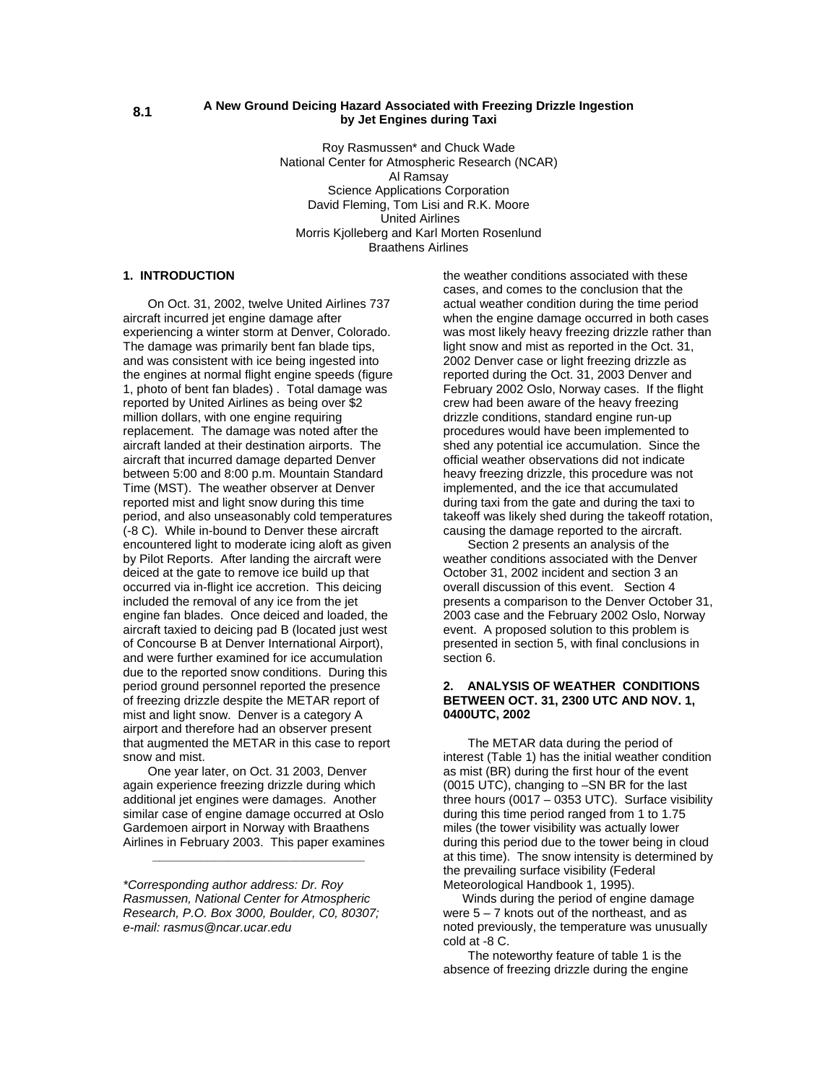#### **A New Ground Deicing Hazard Associated with Freezing Drizzle Ingestion by Jet Engines during Taxi**

Roy Rasmussen\* and Chuck Wade National Center for Atmospheric Research (NCAR) Al Ramsay Science Applications Corporation David Fleming, Tom Lisi and R.K. Moore United Airlines Morris Kjolleberg and Karl Morten Rosenlund Braathens Airlines

# **1. INTRODUCTION**

On Oct. 31, 2002, twelve United Airlines 737 aircraft incurred jet engine damage after experiencing a winter storm at Denver, Colorado. The damage was primarily bent fan blade tips, and was consistent with ice being ingested into the engines at normal flight engine speeds (figure 1, photo of bent fan blades) . Total damage was reported by United Airlines as being over \$2 million dollars, with one engine requiring replacement. The damage was noted after the aircraft landed at their destination airports. The aircraft that incurred damage departed Denver between 5:00 and 8:00 p.m. Mountain Standard Time (MST). The weather observer at Denver reported mist and light snow during this time period, and also unseasonably cold temperatures (-8 C). While in-bound to Denver these aircraft encountered light to moderate icing aloft as given by Pilot Reports. After landing the aircraft were deiced at the gate to remove ice build up that occurred via in-flight ice accretion. This deicing included the removal of any ice from the jet engine fan blades. Once deiced and loaded, the aircraft taxied to deicing pad B (located just west of Concourse B at Denver International Airport), and were further examined for ice accumulation due to the reported snow conditions. During this period ground personnel reported the presence of freezing drizzle despite the METAR report of mist and light snow. Denver is a category A airport and therefore had an observer present that augmented the METAR in this case to report snow and mist.

 One year later, on Oct. 31 2003, Denver again experience freezing drizzle during which additional jet engines were damages. Another similar case of engine damage occurred at Oslo Gardemoen airport in Norway with Braathens Airlines in February 2003. This paper examines

**\_\_\_\_\_\_\_\_\_\_\_\_\_\_\_\_\_\_\_\_\_\_\_\_\_\_\_\_\_\_\_** 

*\*Corresponding author address: Dr. Roy Rasmussen, National Center for Atmospheric Research, P.O. Box 3000, Boulder, C0, 80307; e-mail: rasmus@ncar.ucar.edu* 

the weather conditions associated with these cases, and comes to the conclusion that the actual weather condition during the time period when the engine damage occurred in both cases was most likely heavy freezing drizzle rather than light snow and mist as reported in the Oct. 31, 2002 Denver case or light freezing drizzle as reported during the Oct. 31, 2003 Denver and February 2002 Oslo, Norway cases. If the flight crew had been aware of the heavy freezing drizzle conditions, standard engine run-up procedures would have been implemented to shed any potential ice accumulation. Since the official weather observations did not indicate heavy freezing drizzle, this procedure was not implemented, and the ice that accumulated during taxi from the gate and during the taxi to takeoff was likely shed during the takeoff rotation, causing the damage reported to the aircraft.

Section 2 presents an analysis of the weather conditions associated with the Denver October 31, 2002 incident and section 3 an overall discussion of this event. Section 4 presents a comparison to the Denver October 31, 2003 case and the February 2002 Oslo, Norway event. A proposed solution to this problem is presented in section 5, with final conclusions in section 6.

# **2. ANALYSIS OF WEATHER CONDITIONS BETWEEN OCT. 31, 2300 UTC AND NOV. 1, 0400UTC, 2002**

 The METAR data during the period of interest (Table 1) has the initial weather condition as mist (BR) during the first hour of the event (0015 UTC), changing to –SN BR for the last three hours (0017 – 0353 UTC). Surface visibility during this time period ranged from 1 to 1.75 miles (the tower visibility was actually lower during this period due to the tower being in cloud at this time). The snow intensity is determined by the prevailing surface visibility (Federal Meteorological Handbook 1, 1995).

 Winds during the period of engine damage were  $5 - 7$  knots out of the northeast, and as noted previously, the temperature was unusually cold at -8 C.

 The noteworthy feature of table 1 is the absence of freezing drizzle during the engine

**8.1**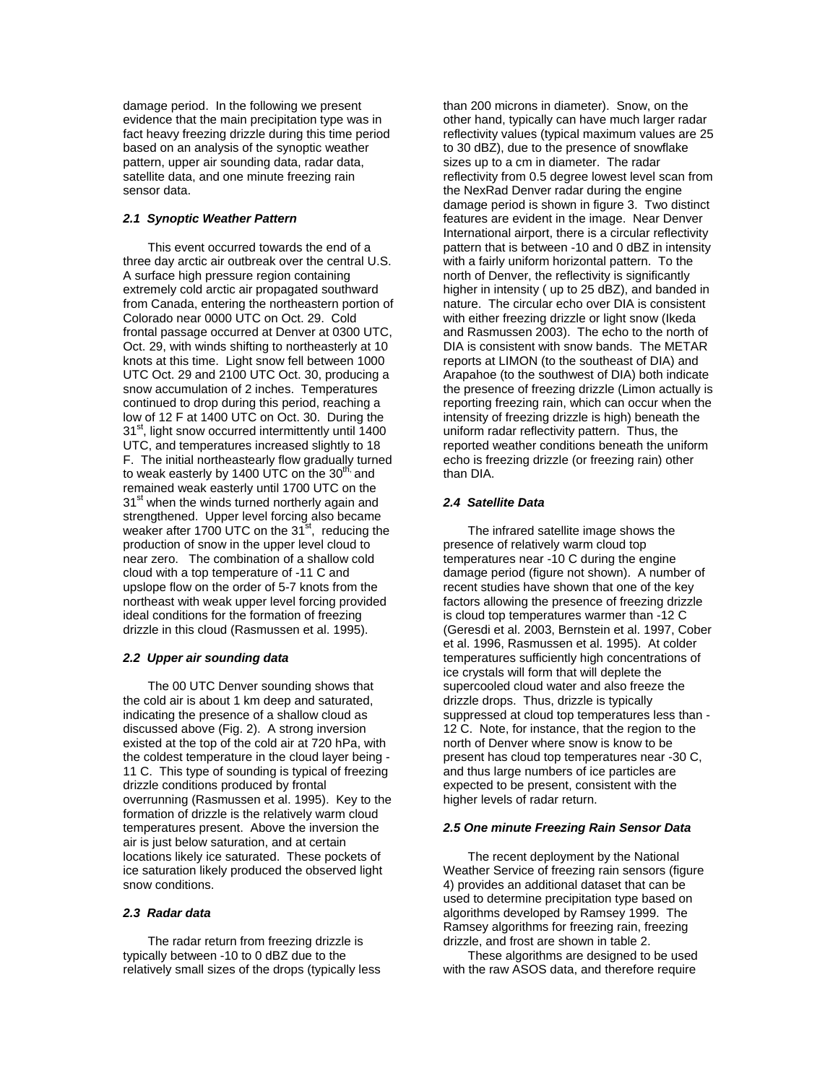damage period. In the following we present evidence that the main precipitation type was in fact heavy freezing drizzle during this time period based on an analysis of the synoptic weather pattern, upper air sounding data, radar data, satellite data, and one minute freezing rain sensor data.

# *2.1 Synoptic Weather Pattern*

 This event occurred towards the end of a three day arctic air outbreak over the central U.S. A surface high pressure region containing extremely cold arctic air propagated southward from Canada, entering the northeastern portion of Colorado near 0000 UTC on Oct. 29. Cold frontal passage occurred at Denver at 0300 UTC, Oct. 29, with winds shifting to northeasterly at 10 knots at this time. Light snow fell between 1000 UTC Oct. 29 and 2100 UTC Oct. 30, producing a snow accumulation of 2 inches. Temperatures continued to drop during this period, reaching a low of 12 F at 1400 UTC on Oct. 30. During the 31<sup>st</sup>, light snow occurred intermittently until 1400 UTC, and temperatures increased slightly to 18 F. The initial northeastearly flow gradually turned to weak easterly by 1400 UTC on the  $30<sup>th</sup>$  and remained weak easterly until 1700 UTC on the 31<sup>st</sup> when the winds turned northerly again and strengthened. Upper level forcing also became weaker after 1700 UTC on the  $31<sup>st</sup>$ , reducing the production of snow in the upper level cloud to near zero. The combination of a shallow cold cloud with a top temperature of -11 C and upslope flow on the order of 5-7 knots from the northeast with weak upper level forcing provided ideal conditions for the formation of freezing drizzle in this cloud (Rasmussen et al. 1995).

#### *2.2 Upper air sounding data*

 The 00 UTC Denver sounding shows that the cold air is about 1 km deep and saturated, indicating the presence of a shallow cloud as discussed above (Fig. 2). A strong inversion existed at the top of the cold air at 720 hPa, with the coldest temperature in the cloud layer being - 11 C. This type of sounding is typical of freezing drizzle conditions produced by frontal overrunning (Rasmussen et al. 1995). Key to the formation of drizzle is the relatively warm cloud temperatures present. Above the inversion the air is just below saturation, and at certain locations likely ice saturated. These pockets of ice saturation likely produced the observed light snow conditions.

#### *2.3 Radar data*

 The radar return from freezing drizzle is typically between -10 to 0 dBZ due to the relatively small sizes of the drops (typically less than 200 microns in diameter). Snow, on the other hand, typically can have much larger radar reflectivity values (typical maximum values are 25 to 30 dBZ), due to the presence of snowflake sizes up to a cm in diameter. The radar reflectivity from 0.5 degree lowest level scan from the NexRad Denver radar during the engine damage period is shown in figure 3. Two distinct features are evident in the image. Near Denver International airport, there is a circular reflectivity pattern that is between -10 and 0 dBZ in intensity with a fairly uniform horizontal pattern. To the north of Denver, the reflectivity is significantly higher in intensity ( up to 25 dBZ), and banded in nature. The circular echo over DIA is consistent with either freezing drizzle or light snow (Ikeda and Rasmussen 2003). The echo to the north of DIA is consistent with snow bands. The METAR reports at LIMON (to the southeast of DIA) and Arapahoe (to the southwest of DIA) both indicate the presence of freezing drizzle (Limon actually is reporting freezing rain, which can occur when the intensity of freezing drizzle is high) beneath the uniform radar reflectivity pattern. Thus, the reported weather conditions beneath the uniform echo is freezing drizzle (or freezing rain) other than DIA.

#### *2.4 Satellite Data*

 The infrared satellite image shows the presence of relatively warm cloud top temperatures near -10 C during the engine damage period (figure not shown). A number of recent studies have shown that one of the key factors allowing the presence of freezing drizzle is cloud top temperatures warmer than -12 C (Geresdi et al. 2003, Bernstein et al. 1997, Cober et al. 1996, Rasmussen et al. 1995). At colder temperatures sufficiently high concentrations of ice crystals will form that will deplete the supercooled cloud water and also freeze the drizzle drops. Thus, drizzle is typically suppressed at cloud top temperatures less than - 12 C. Note, for instance, that the region to the north of Denver where snow is know to be present has cloud top temperatures near -30 C, and thus large numbers of ice particles are expected to be present, consistent with the higher levels of radar return.

#### *2.5 One minute Freezing Rain Sensor Data*

 The recent deployment by the National Weather Service of freezing rain sensors (figure 4) provides an additional dataset that can be used to determine precipitation type based on algorithms developed by Ramsey 1999. The Ramsey algorithms for freezing rain, freezing drizzle, and frost are shown in table 2.

 These algorithms are designed to be used with the raw ASOS data, and therefore require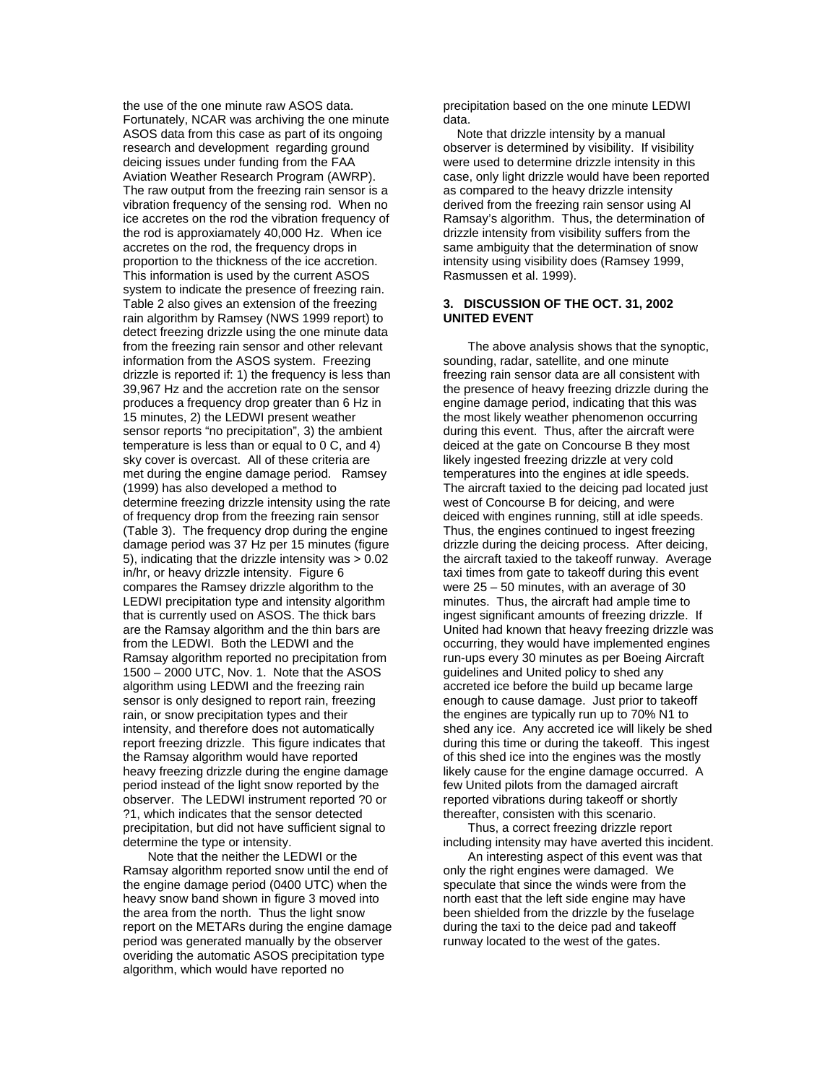the use of the one minute raw ASOS data. Fortunately, NCAR was archiving the one minute ASOS data from this case as part of its ongoing research and development regarding ground deicing issues under funding from the FAA Aviation Weather Research Program (AWRP). The raw output from the freezing rain sensor is a vibration frequency of the sensing rod. When no ice accretes on the rod the vibration frequency of the rod is approxiamately 40,000 Hz. When ice accretes on the rod, the frequency drops in proportion to the thickness of the ice accretion. This information is used by the current ASOS system to indicate the presence of freezing rain. Table 2 also gives an extension of the freezing rain algorithm by Ramsey (NWS 1999 report) to detect freezing drizzle using the one minute data from the freezing rain sensor and other relevant information from the ASOS system. Freezing drizzle is reported if: 1) the frequency is less than 39,967 Hz and the accretion rate on the sensor produces a frequency drop greater than 6 Hz in 15 minutes, 2) the LEDWI present weather sensor reports "no precipitation", 3) the ambient temperature is less than or equal to 0 C, and 4) sky cover is overcast. All of these criteria are met during the engine damage period. Ramsey (1999) has also developed a method to determine freezing drizzle intensity using the rate of frequency drop from the freezing rain sensor (Table 3). The frequency drop during the engine damage period was 37 Hz per 15 minutes (figure 5), indicating that the drizzle intensity was > 0.02 in/hr, or heavy drizzle intensity. Figure 6 compares the Ramsey drizzle algorithm to the LEDWI precipitation type and intensity algorithm that is currently used on ASOS. The thick bars are the Ramsay algorithm and the thin bars are from the LEDWI. Both the LEDWI and the Ramsay algorithm reported no precipitation from 1500 – 2000 UTC, Nov. 1. Note that the ASOS algorithm using LEDWI and the freezing rain sensor is only designed to report rain, freezing rain, or snow precipitation types and their intensity, and therefore does not automatically report freezing drizzle. This figure indicates that the Ramsay algorithm would have reported heavy freezing drizzle during the engine damage period instead of the light snow reported by the observer. The LEDWI instrument reported ?0 or ?1, which indicates that the sensor detected precipitation, but did not have sufficient signal to determine the type or intensity.

 Note that the neither the LEDWI or the Ramsay algorithm reported snow until the end of the engine damage period (0400 UTC) when the heavy snow band shown in figure 3 moved into the area from the north. Thus the light snow report on the METARs during the engine damage period was generated manually by the observer overiding the automatic ASOS precipitation type algorithm, which would have reported no

precipitation based on the one minute LEDWI data.

 Note that drizzle intensity by a manual observer is determined by visibility. If visibility were used to determine drizzle intensity in this case, only light drizzle would have been reported as compared to the heavy drizzle intensity derived from the freezing rain sensor using Al Ramsay's algorithm. Thus, the determination of drizzle intensity from visibility suffers from the same ambiguity that the determination of snow intensity using visibility does (Ramsey 1999, Rasmussen et al. 1999).

#### **3. DISCUSSION OF THE OCT. 31, 2002 UNITED EVENT**

The above analysis shows that the synoptic, sounding, radar, satellite, and one minute freezing rain sensor data are all consistent with the presence of heavy freezing drizzle during the engine damage period, indicating that this was the most likely weather phenomenon occurring during this event. Thus, after the aircraft were deiced at the gate on Concourse B they most likely ingested freezing drizzle at very cold temperatures into the engines at idle speeds. The aircraft taxied to the deicing pad located just west of Concourse B for deicing, and were deiced with engines running, still at idle speeds. Thus, the engines continued to ingest freezing drizzle during the deicing process. After deicing, the aircraft taxied to the takeoff runway. Average taxi times from gate to takeoff during this event were  $25 - 50$  minutes, with an average of 30 minutes. Thus, the aircraft had ample time to ingest significant amounts of freezing drizzle. If United had known that heavy freezing drizzle was occurring, they would have implemented engines run-ups every 30 minutes as per Boeing Aircraft guidelines and United policy to shed any accreted ice before the build up became large enough to cause damage. Just prior to takeoff the engines are typically run up to 70% N1 to shed any ice. Any accreted ice will likely be shed during this time or during the takeoff. This ingest of this shed ice into the engines was the mostly likely cause for the engine damage occurred. A few United pilots from the damaged aircraft reported vibrations during takeoff or shortly thereafter, consisten with this scenario.

Thus, a correct freezing drizzle report including intensity may have averted this incident.

 An interesting aspect of this event was that only the right engines were damaged. We speculate that since the winds were from the north east that the left side engine may have been shielded from the drizzle by the fuselage during the taxi to the deice pad and takeoff runway located to the west of the gates.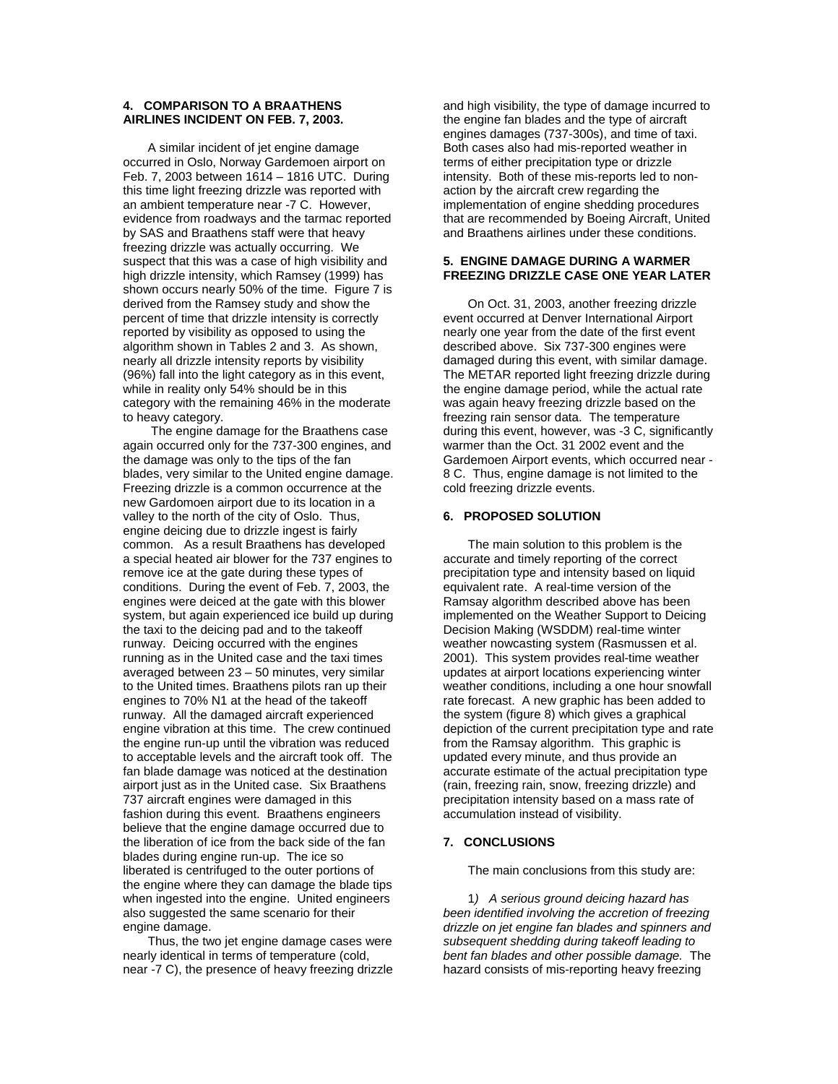# **4. COMPARISON TO A BRAATHENS AIRLINES INCIDENT ON FEB. 7, 2003.**

A similar incident of jet engine damage occurred in Oslo, Norway Gardemoen airport on Feb. 7, 2003 between 1614 – 1816 UTC. During this time light freezing drizzle was reported with an ambient temperature near -7 C. However, evidence from roadways and the tarmac reported by SAS and Braathens staff were that heavy freezing drizzle was actually occurring. We suspect that this was a case of high visibility and high drizzle intensity, which Ramsey (1999) has shown occurs nearly 50% of the time. Figure 7 is derived from the Ramsey study and show the percent of time that drizzle intensity is correctly reported by visibility as opposed to using the algorithm shown in Tables 2 and 3. As shown, nearly all drizzle intensity reports by visibility (96%) fall into the light category as in this event, while in reality only 54% should be in this category with the remaining 46% in the moderate to heavy category.

 The engine damage for the Braathens case again occurred only for the 737-300 engines, and the damage was only to the tips of the fan blades, very similar to the United engine damage. Freezing drizzle is a common occurrence at the new Gardomoen airport due to its location in a valley to the north of the city of Oslo. Thus, engine deicing due to drizzle ingest is fairly common. As a result Braathens has developed a special heated air blower for the 737 engines to remove ice at the gate during these types of conditions. During the event of Feb. 7, 2003, the engines were deiced at the gate with this blower system, but again experienced ice build up during the taxi to the deicing pad and to the takeoff runway. Deicing occurred with the engines running as in the United case and the taxi times averaged between 23 – 50 minutes, very similar to the United times. Braathens pilots ran up their engines to 70% N1 at the head of the takeoff runway. All the damaged aircraft experienced engine vibration at this time. The crew continued the engine run-up until the vibration was reduced to acceptable levels and the aircraft took off. The fan blade damage was noticed at the destination airport just as in the United case. Six Braathens 737 aircraft engines were damaged in this fashion during this event. Braathens engineers believe that the engine damage occurred due to the liberation of ice from the back side of the fan blades during engine run-up. The ice so liberated is centrifuged to the outer portions of the engine where they can damage the blade tips when ingested into the engine. United engineers also suggested the same scenario for their engine damage.

Thus, the two jet engine damage cases were nearly identical in terms of temperature (cold, near -7 C), the presence of heavy freezing drizzle and high visibility, the type of damage incurred to the engine fan blades and the type of aircraft engines damages (737-300s), and time of taxi. Both cases also had mis-reported weather in terms of either precipitation type or drizzle intensity. Both of these mis-reports led to nonaction by the aircraft crew regarding the implementation of engine shedding procedures that are recommended by Boeing Aircraft, United and Braathens airlines under these conditions.

#### **5. ENGINE DAMAGE DURING A WARMER FREEZING DRIZZLE CASE ONE YEAR LATER**

 On Oct. 31, 2003, another freezing drizzle event occurred at Denver International Airport nearly one year from the date of the first event described above. Six 737-300 engines were damaged during this event, with similar damage. The METAR reported light freezing drizzle during the engine damage period, while the actual rate was again heavy freezing drizzle based on the freezing rain sensor data. The temperature during this event, however, was -3 C, significantly warmer than the Oct. 31 2002 event and the Gardemoen Airport events, which occurred near - 8 C. Thus, engine damage is not limited to the cold freezing drizzle events.

#### **6. PROPOSED SOLUTION**

 The main solution to this problem is the accurate and timely reporting of the correct precipitation type and intensity based on liquid equivalent rate. A real-time version of the Ramsay algorithm described above has been implemented on the Weather Support to Deicing Decision Making (WSDDM) real-time winter weather nowcasting system (Rasmussen et al. 2001). This system provides real-time weather updates at airport locations experiencing winter weather conditions, including a one hour snowfall rate forecast. A new graphic has been added to the system (figure 8) which gives a graphical depiction of the current precipitation type and rate from the Ramsay algorithm. This graphic is updated every minute, and thus provide an accurate estimate of the actual precipitation type (rain, freezing rain, snow, freezing drizzle) and precipitation intensity based on a mass rate of accumulation instead of visibility.

# **7. CONCLUSIONS**

The main conclusions from this study are:

 1*) A serious ground deicing hazard has been identified involving the accretion of freezing drizzle on jet engine fan blades and spinners and subsequent shedding during takeoff leading to bent fan blades and other possible damage.* The hazard consists of mis-reporting heavy freezing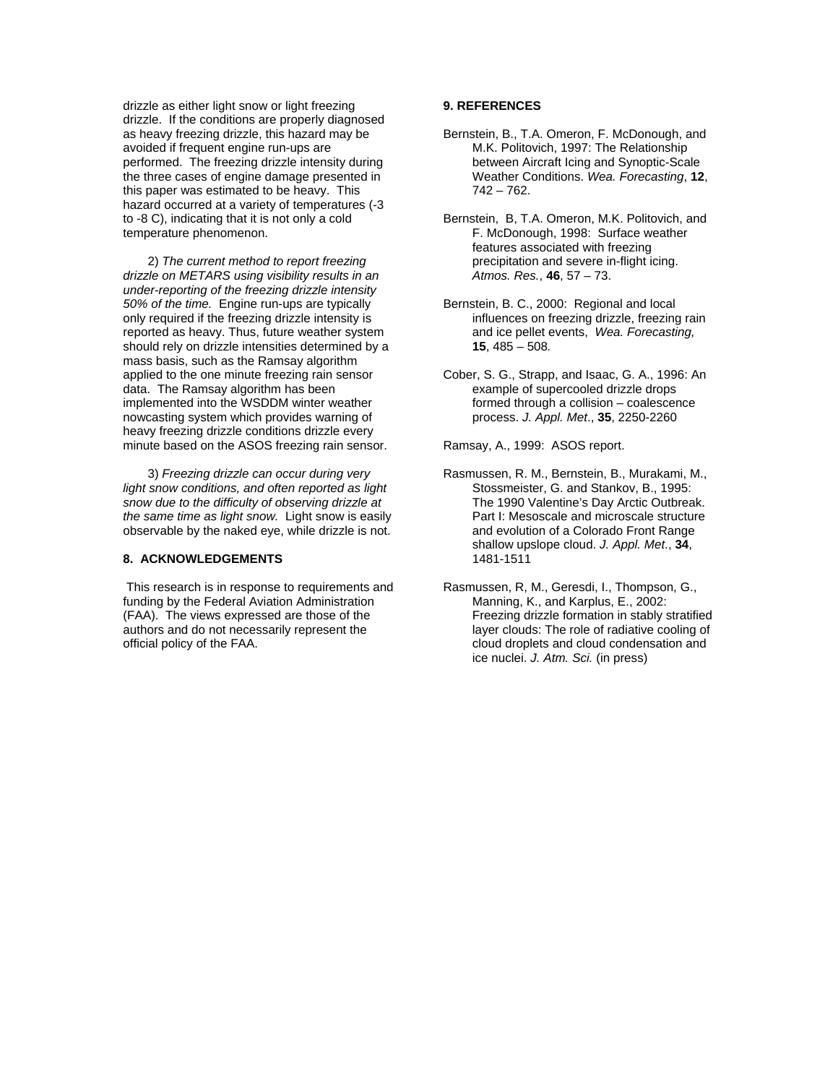drizzle as either light snow or light freezing drizzle. If the conditions are properly diagnosed as heavy freezing drizzle, this hazard may be avoided if frequent engine run-ups are performed. The freezing drizzle intensity during the three cases of engine damage presented in this paper was estimated to be heavy. This hazard occurred at a variety of temperatures (-3 to -8 C), indicating that it is not only a cold temperature phenomenon.

 2) *The current method to report freezing drizzle on METARS using visibility results in an under-reporting of the freezing drizzle intensity 50% of the time.* Engine run-ups are typically only required if the freezing drizzle intensity is reported as heavy. Thus, future weather system should rely on drizzle intensities determined by a mass basis, such as the Ramsay algorithm applied to the one minute freezing rain sensor data. The Ramsay algorithm has been implemented into the WSDDM winter weather nowcasting system which provides warning of heavy freezing drizzle conditions drizzle every minute based on the ASOS freezing rain sensor.

 3) *Freezing drizzle can occur during very light snow conditions, and often reported as light snow due to the difficulty of observing drizzle at the same time as light snow.* Light snow is easily observable by the naked eye, while drizzle is not.

# **8. ACKNOWLEDGEMENTS**

 This research is in response to requirements and funding by the Federal Aviation Administration (FAA). The views expressed are those of the authors and do not necessarily represent the official policy of the FAA.

# **9. REFERENCES**

- Bernstein, B., T.A. Omeron, F. McDonough, and M.K. Politovich, 1997: The Relationship between Aircraft Icing and Synoptic-Scale Weather Conditions. *Wea. Forecasting*, **12**, 742 – 762.
- Bernstein, B, T.A. Omeron, M.K. Politovich, and F. McDonough, 1998: Surface weather features associated with freezing precipitation and severe in-flight icing. *Atmos. Res.*, **46**, 57 – 73.
- Bernstein, B. C., 2000: Regional and local influences on freezing drizzle, freezing rain and ice pellet events, *Wea. Forecasting,*  **15**, 485 – 508*.*
- Cober, S. G., Strapp, and Isaac, G. A., 1996: An example of supercooled drizzle drops formed through a collision – coalescence process. *J. Appl. Met*., **35**, 2250-2260

Ramsay, A., 1999: ASOS report.

- Rasmussen, R. M., Bernstein, B., Murakami, M., Stossmeister, G. and Stankov, B., 1995: The 1990 Valentine's Day Arctic Outbreak. Part I: Mesoscale and microscale structure and evolution of a Colorado Front Range shallow upslope cloud. *J. Appl. Met*., **34**, 1481-1511
- Rasmussen, R, M., Geresdi, I., Thompson, G., Manning, K., and Karplus, E., 2002: Freezing drizzle formation in stably stratified layer clouds: The role of radiative cooling of cloud droplets and cloud condensation and ice nuclei. *J. Atm. Sci.* (in press)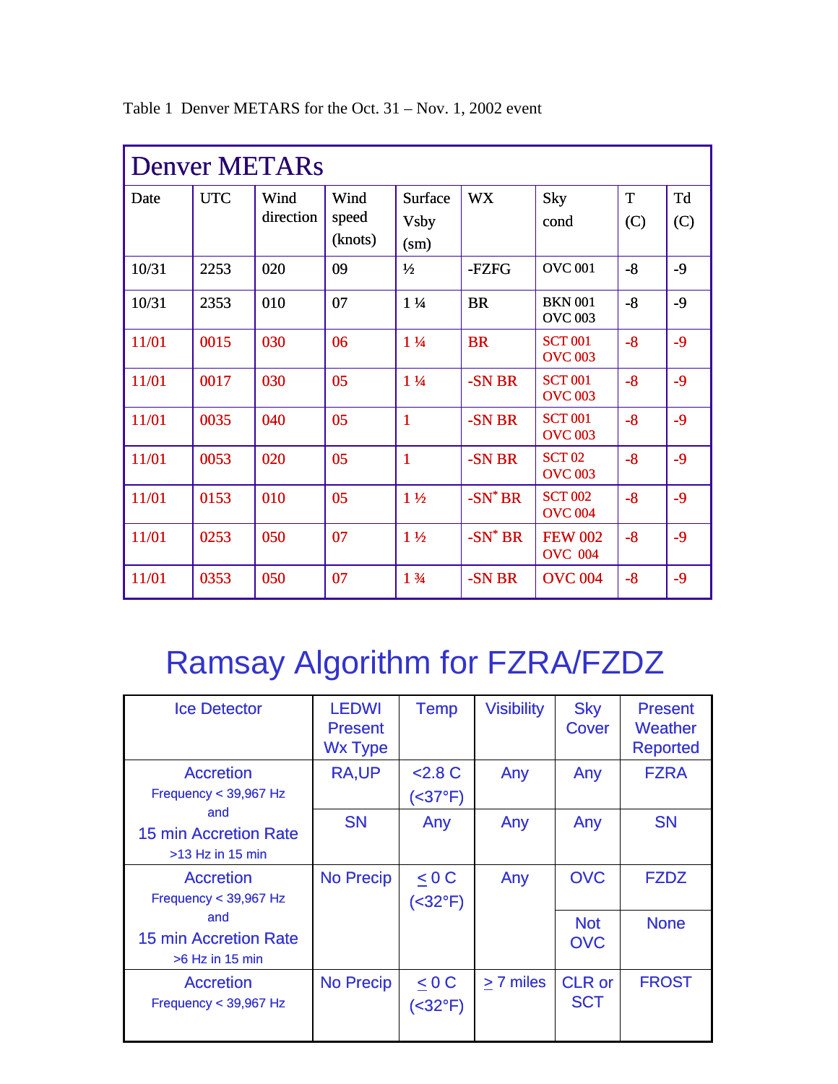| <b>Denver METARs</b> |            |                   |                          |                                         |            |                                  |          |           |
|----------------------|------------|-------------------|--------------------------|-----------------------------------------|------------|----------------------------------|----------|-----------|
| Date                 | <b>UTC</b> | Wind<br>direction | Wind<br>speed<br>(knots) | Surface<br><b>Vsby</b><br>$\text{(sm)}$ | <b>WX</b>  | Sky<br>cond                      | T<br>(C) | Td<br>(C) |
| 10/31                | 2253       | 020               | 09                       | $\frac{1}{2}$                           | -FZFG      | <b>OVC 001</b>                   | $-8$     | $-9$      |
| 10/31                | 2353       | 010               | 07                       | $1\frac{1}{4}$                          | <b>BR</b>  | <b>BKN 001</b><br><b>OVC 003</b> | $-8$     | $-9$      |
| 11/01                | 0015       | 030               | 06                       | $1\frac{1}{4}$                          | <b>BR</b>  | <b>SCT 001</b><br><b>OVC 003</b> | $-8$     | $-9$      |
| 11/01                | 0017       | 030               | 05                       | $1\frac{1}{4}$                          | -SN BR     | <b>SCT 001</b><br><b>OVC 003</b> | $-8$     | $-9$      |
| 11/01                | 0035       | 040               | 05                       | $\mathbf{1}$                            | -SN BR     | <b>SCT 001</b><br><b>OVC 003</b> | $-8$     | $-9$      |
| 11/01                | 0053       | 020               | 05                       | $\mathbf{1}$                            | -SN BR     | <b>SCT 02</b><br><b>OVC 003</b>  | $-8$     | $-9$      |
| 11/01                | 0153       | 010               | 05                       | $1\frac{1}{2}$                          | $-SN^*BR$  | <b>SCT 002</b><br><b>OVC 004</b> | $-8$     | $-9$      |
| 11/01                | 0253       | 050               | 07                       | $1\frac{1}{2}$                          | $-SN^*$ BR | <b>FEW 002</b><br><b>OVC 004</b> | $-8$     | $-9$      |
| 11/01                | 0353       | 050               | 07                       | 13/4                                    | -SN BR     | <b>OVC 004</b>                   | $-8$     | $-9$      |

Table 1 Denver METARS for the Oct. 31 – Nov. 1, 2002 event

# Ramsay Algorithm for FZRA/FZDZ

| <b>Ice Detector</b>                                       | <b>LEDWI</b><br><b>Present</b><br><b>Wx Type</b> | <b>Temp</b>                   | <b>Visibility</b> | <b>Sky</b><br>Cover         | <b>Present</b><br>Weather<br><b>Reported</b> |
|-----------------------------------------------------------|--------------------------------------------------|-------------------------------|-------------------|-----------------------------|----------------------------------------------|
| <b>Accretion</b><br>Frequency < 39,967 Hz                 | <b>RA,UP</b>                                     | $2.8 \text{ C}$<br>(<37°F)    | Any               | Any                         | <b>FZRA</b>                                  |
| and<br><b>15 min Accretion Rate</b><br>$>13$ Hz in 15 min | <b>SN</b>                                        | Any                           | Any               | Any                         | <b>SN</b>                                    |
| <b>Accretion</b><br>Frequency < 39,967 Hz                 | <b>No Precip</b>                                 | < 0 C<br>( <b>32</b> °F)      | Any               | <b>OVC</b>                  | <b>FZDZ</b>                                  |
| and<br><b>15 min Accretion Rate</b><br>$>6$ Hz in 15 min  |                                                  |                               |                   | <b>Not</b><br><b>OVC</b>    | <b>None</b>                                  |
| <b>Accretion</b><br>Frequency $<$ 39,967 Hz               | <b>No Precip</b>                                 | $\leq 0 C$<br>( <b>32</b> °F) | > 7 miles         | <b>CLR</b> or<br><b>SCT</b> | <b>FROST</b>                                 |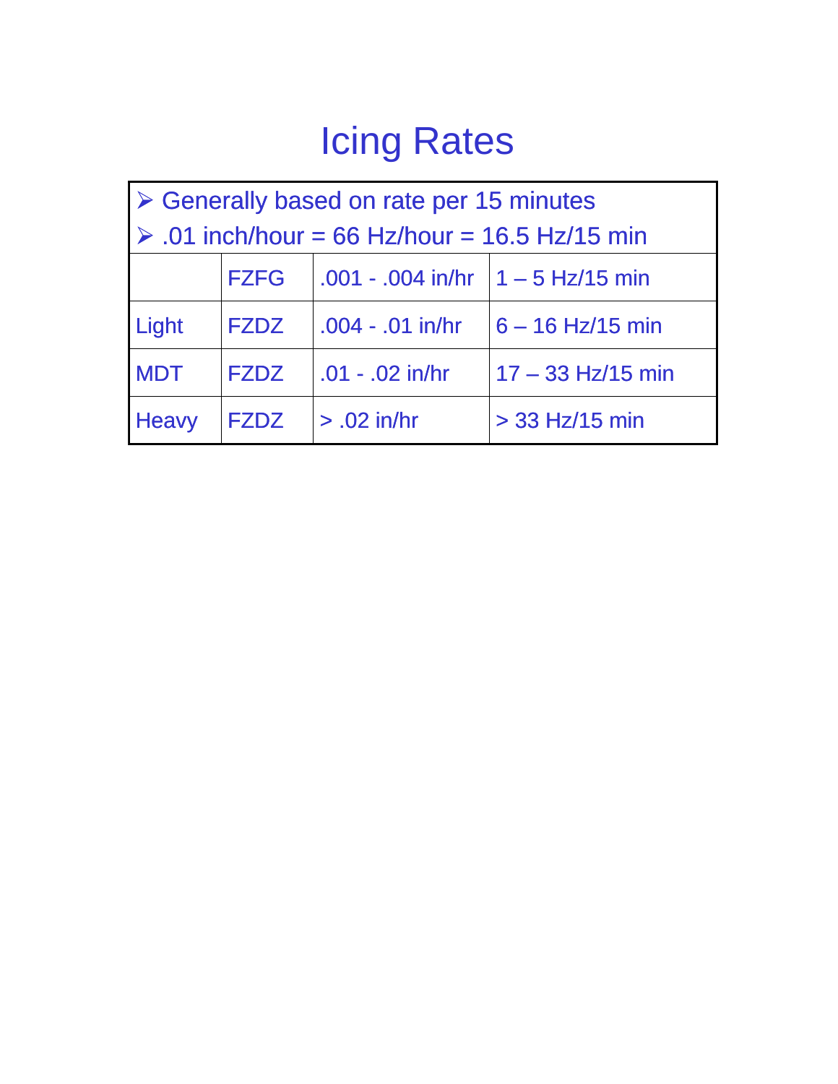# Icing Rates

| $\triangleright$ Generally based on rate per 15 minutes      |             |                                                               |                                        |  |  |
|--------------------------------------------------------------|-------------|---------------------------------------------------------------|----------------------------------------|--|--|
| $\triangleright$ .01 inch/hour = 66 Hz/hour = 16.5 Hz/15 min |             |                                                               |                                        |  |  |
|                                                              | <b>FZFG</b> | $\vert .001 - .004 \vert$ in/hr $\vert 1 - 5 \vert$ Hz/15 min |                                        |  |  |
| Light                                                        | <b>FZDZ</b> |                                                               | $.004 - .01$ in/hr $ 6 - 16$ Hz/15 min |  |  |
| <b>MDT</b>                                                   | <b>FZDZ</b> | $.01 - .02$ in/hr                                             | $17 - 33$ Hz/15 min                    |  |  |
| <b>Heavy</b>                                                 | <b>FZDZ</b> | $> .02$ in/hr                                                 | $>$ 33 Hz/15 min                       |  |  |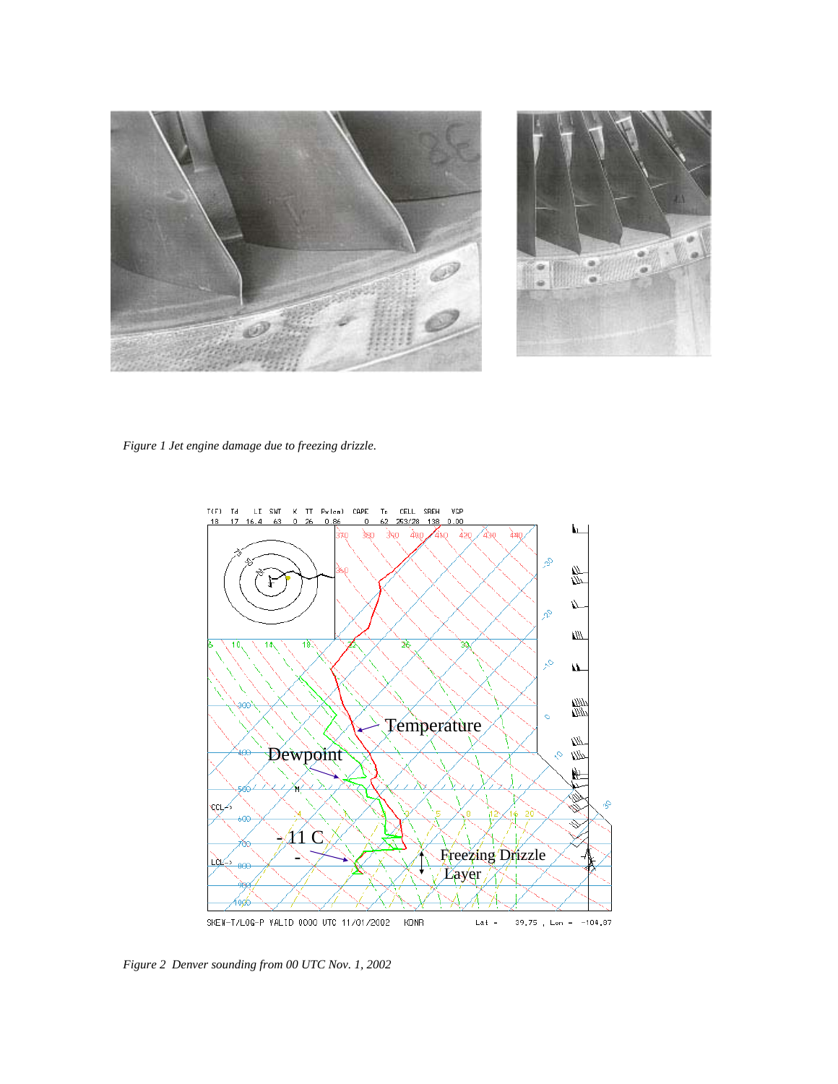

*Figure 1 Jet engine damage due to freezing drizzle.*



*Figure 2 Denver sounding from 00 UTC Nov. 1, 2002*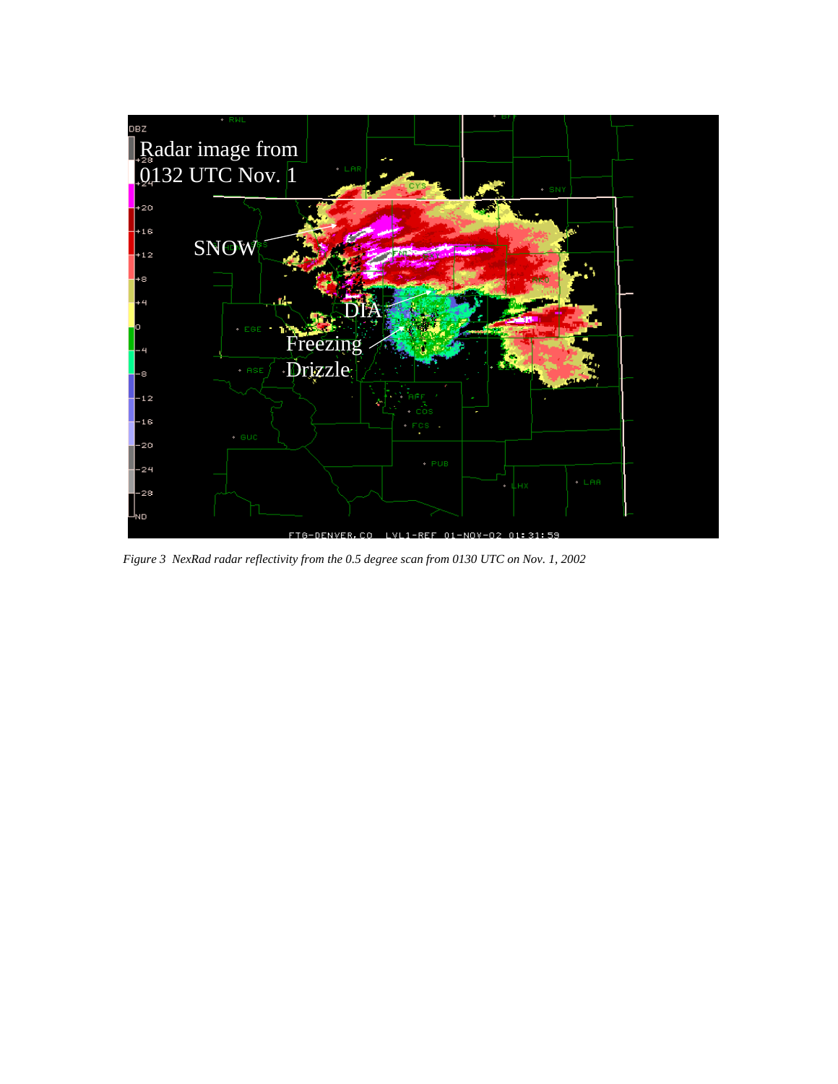

*Figure 3 NexRad radar reflectivity from the 0.5 degree scan from 0130 UTC on Nov. 1, 2002*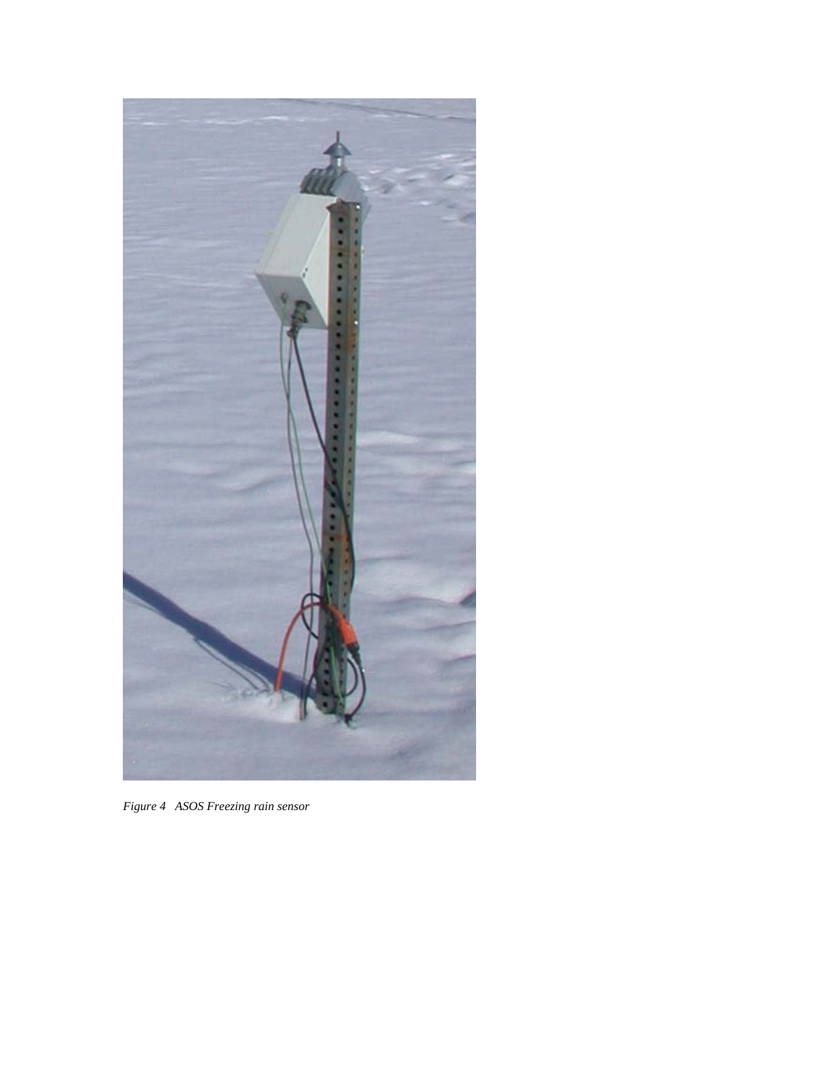

*Figure 4 ASOS Freezing rain sensor*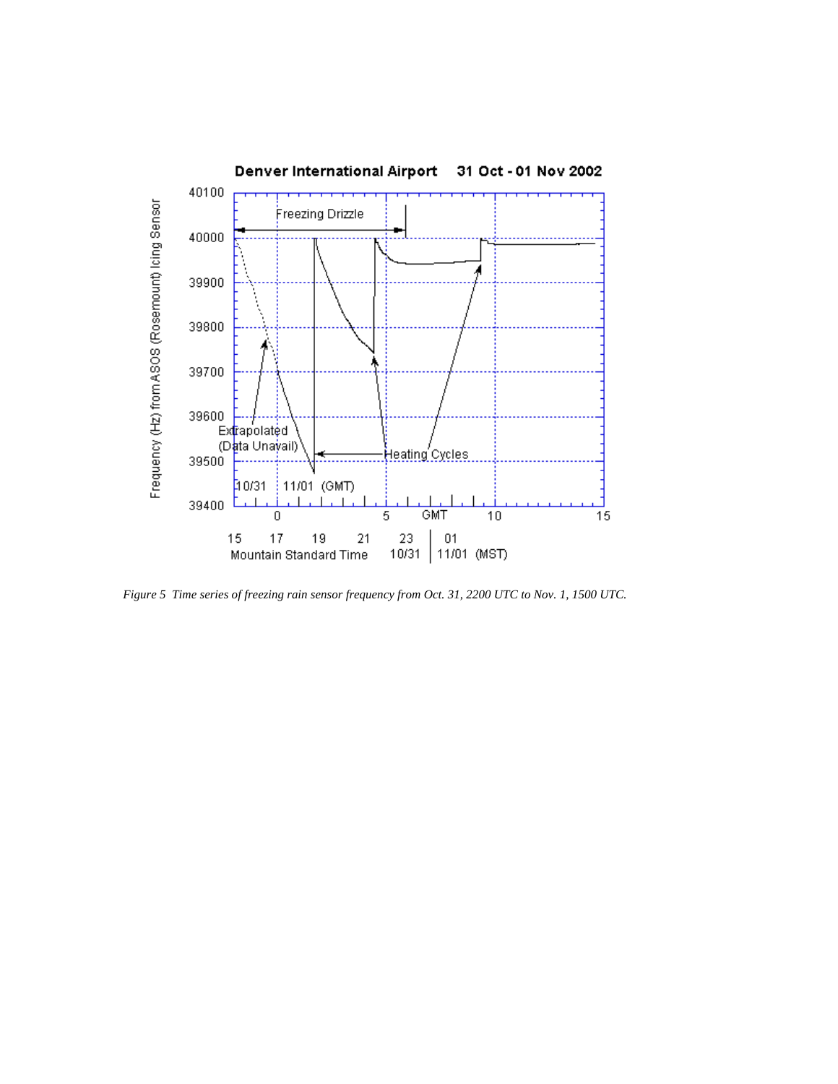

*Figure 5 Time series of freezing rain sensor frequency from Oct. 31, 2200 UTC to Nov. 1, 1500 UTC.*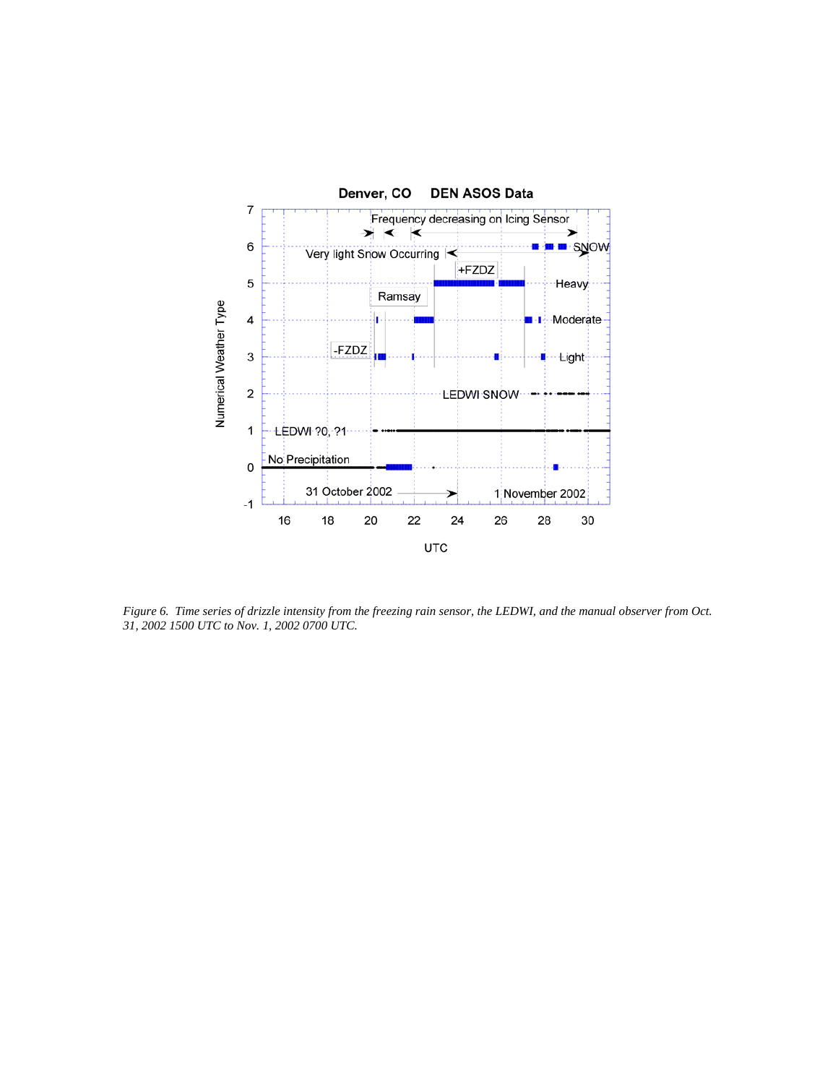

*Figure 6. Time series of drizzle intensity from the freezing rain sensor, the LEDWI, and the manual observer from Oct. 31, 2002 1500 UTC to Nov. 1, 2002 0700 UTC.*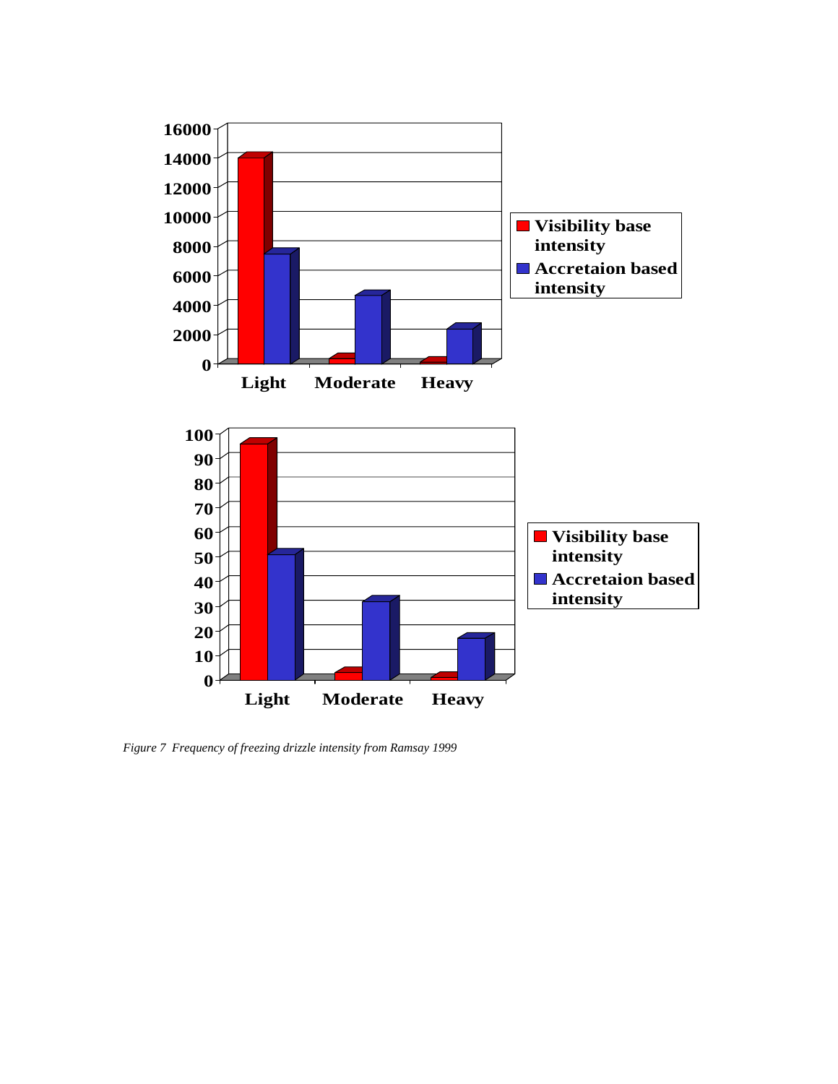

*Figure 7 Frequency of freezing drizzle intensity from Ramsay 1999*